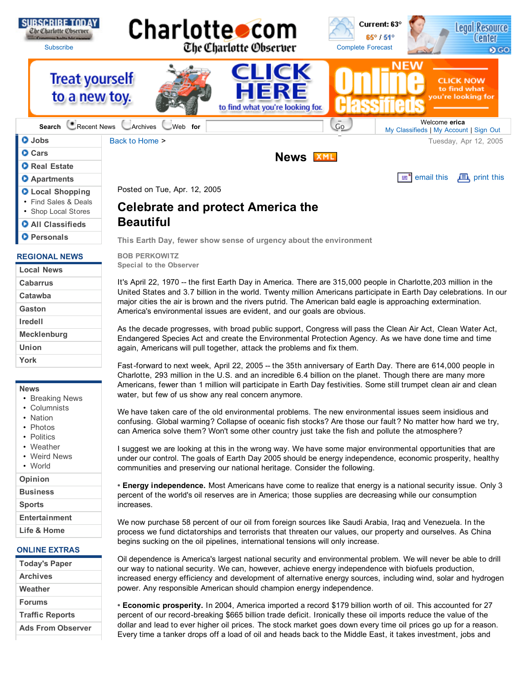

- **All Classifieds**
- **Personals**

#### **REGIONAL NEWS**

| <b>Local News</b>  |
|--------------------|
| <b>Cabarrus</b>    |
| Catawba            |
| Gaston             |
| <b>Iredell</b>     |
| <b>Mecklenburg</b> |
| Union              |
| York               |

#### **News**

- Breaking News
- Columnists
- Nation
- Photos
- Politics
- Weather
- Weird News • World

**Opinion**

**Business**

```
Sports
```
**Entertainment**

**Life & Home**

# **ONLINE EXTRAS**

| <b>Today's Paper</b>     |  |
|--------------------------|--|
| <b>Archives</b>          |  |
| Weather                  |  |
| <b>Forums</b>            |  |
| <b>Traffic Reports</b>   |  |
| <b>Ads From Observer</b> |  |

**This Earth Day, fewer show sense of urgency about the environment**

**BOB PERKOWITZ Special to the Observer**

**Beautiful**

It's April 22, 1970 -- the first Earth Day in America. There are 315,000 people in Charlotte,203 million in the United States and 3.7 billion in the world. Twenty million Americans participate in Earth Day celebrations. In our major cities the air is brown and the rivers putrid. The American bald eagle is approaching extermination. America's environmental issues are evident, and our goals are obvious.

As the decade progresses, with broad public support, Congress will pass the Clean Air Act, Clean Water Act, Endangered Species Act and create the Environmental Protection Agency. As we have done time and time again, Americans will pull together, attack the problems and fix them.

Fast-forward to next week, April 22, 2005 -- the 35th anniversary of Earth Day. There are 614,000 people in Charlotte, 293 million in the U.S. and an incredible 6.4 billion on the planet. Though there are many more Americans, fewer than 1 million will participate in Earth Day festivities. Some still trumpet clean air and clean water, but few of us show any real concern anymore.

We have taken care of the old environmental problems. The new environmental issues seem insidious and confusing. Global warming? Collapse of oceanic fish stocks? Are those our fault? No matter how hard we try, can America solve them? Won't some other country just take the fish and pollute the atmosphere?

I suggest we are looking at this in the wrong way. We have some major environmental opportunities that are under our control. The goals of Earth Day 2005 should be energy independence, economic prosperity, healthy communities and preserving our national heritage. Consider the following.

**• Energy independence.** Most Americans have come to realize that energy is a national security issue. Only 3 percent of the world's oil reserves are in America; those supplies are decreasing while our consumption increases.

We now purchase 58 percent of our oil from foreign sources like Saudi Arabia, Iraq and Venezuela. In the process we fund dictatorships and terrorists that threaten our values, our property and ourselves. As China begins sucking on the oil pipelines, international tensions will only increase.

Oil dependence is America's largest national security and environmental problem. We will never be able to drill our way to national security. We can, however, achieve energy independence with biofuels production, increased energy efficiency and development of alternative energy sources, including wind, solar and hydrogen power. Any responsible American should champion energy independence.

**• Economic prosperity.** In 2004, America imported a record \$179 billion worth of oil. This accounted for 27 percent of our record-breaking \$665 billion trade deficit. Ironically these oil imports reduce the value of the dollar and lead to ever higher oil prices. The stock market goes down every time oil prices go up for a reason. Every time a tanker drops off a load of oil and heads back to the Middle East, it takes investment, jobs and